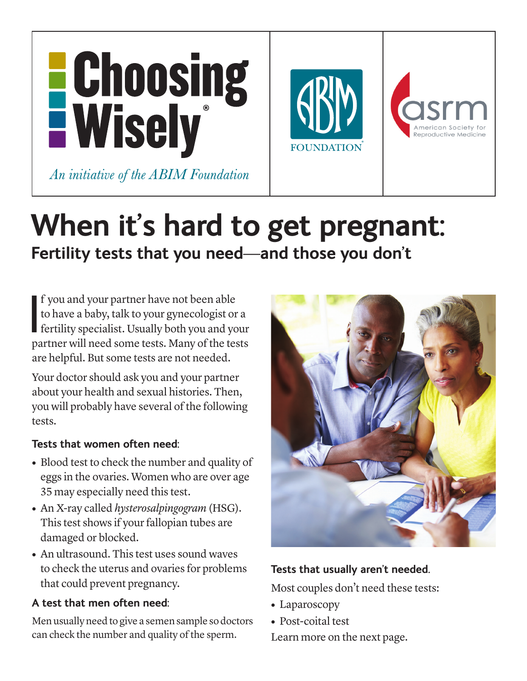

# **When it's hard to get pregnant:** Fertility tests that you need—and those you don't

 $\overline{\phantom{a}}$ f you and your partner have not been able to have a baby, talk to your gynecologist or a fertility specialist. Usually both you and your partner will need some tests. Many of the tests are helpful. But some tests are not needed.

Your doctor should ask you and your partner about your health and sexual histories. Then, you will probably have several of the following tests.

## **Tests that women often need:**

- **•** Blood test to check the number and quality of eggs in the ovaries. Women who are over age 35 may especially need this test.
- **•** An X-ray called *hysterosalpingogram* (HSG). This test shows if your fallopian tubes are damaged or blocked.
- **•** An ultrasound. This test uses sound waves to check the uterus and ovaries for problems that could prevent pregnancy.

# **A test that men often need:**

Men usually need to give a semen sample so doctors can check the number and quality of the sperm.



# **Tests that usually aren't needed.**

Most couples don't need these tests:

- **•** Laparoscopy
- **•** Post-coital test

Learn more on the next page.